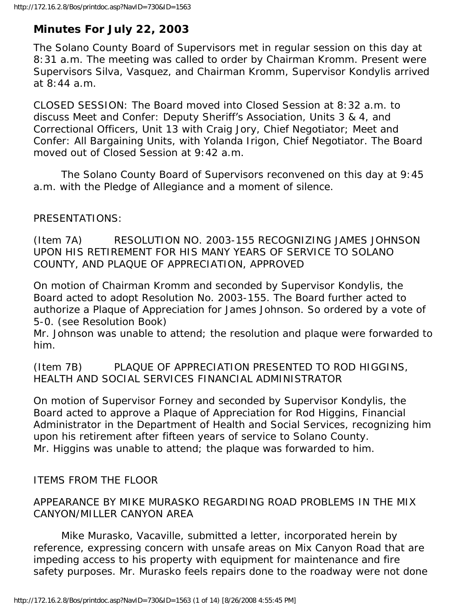# **Minutes For July 22, 2003**

The Solano County Board of Supervisors met in regular session on this day at 8:31 a.m. The meeting was called to order by Chairman Kromm. Present were Supervisors Silva, Vasquez, and Chairman Kromm, Supervisor Kondylis arrived at 8:44 a.m.

CLOSED SESSION: The Board moved into Closed Session at 8:32 a.m. to discuss Meet and Confer: Deputy Sheriff's Association, Units 3 & 4, and Correctional Officers, Unit 13 with Craig Jory, Chief Negotiator; Meet and Confer: All Bargaining Units, with Yolanda Irigon, Chief Negotiator. The Board moved out of Closed Session at 9:42 a.m.

 The Solano County Board of Supervisors reconvened on this day at 9:45 a.m. with the Pledge of Allegiance and a moment of silence.

## PRESENTATIONS:

(Item 7A) RESOLUTION NO. 2003-155 RECOGNIZING JAMES JOHNSON UPON HIS RETIREMENT FOR HIS MANY YEARS OF SERVICE TO SOLANO COUNTY, AND PLAQUE OF APPRECIATION, APPROVED

On motion of Chairman Kromm and seconded by Supervisor Kondylis, the Board acted to adopt Resolution No. 2003-155. The Board further acted to authorize a Plaque of Appreciation for James Johnson. So ordered by a vote of 5-0. (see Resolution Book)

Mr. Johnson was unable to attend; the resolution and plaque were forwarded to him.

(Item 7B) PLAQUE OF APPRECIATION PRESENTED TO ROD HIGGINS, HEALTH AND SOCIAL SERVICES FINANCIAL ADMINISTRATOR

On motion of Supervisor Forney and seconded by Supervisor Kondylis, the Board acted to approve a Plaque of Appreciation for Rod Higgins, Financial Administrator in the Department of Health and Social Services, recognizing him upon his retirement after fifteen years of service to Solano County. Mr. Higgins was unable to attend; the plaque was forwarded to him.

# ITEMS FROM THE FLOOR

## APPEARANCE BY MIKE MURASKO REGARDING ROAD PROBLEMS IN THE MIX CANYON/MILLER CANYON AREA

 Mike Murasko, Vacaville, submitted a letter, incorporated herein by reference, expressing concern with unsafe areas on Mix Canyon Road that are impeding access to his property with equipment for maintenance and fire safety purposes. Mr. Murasko feels repairs done to the roadway were not done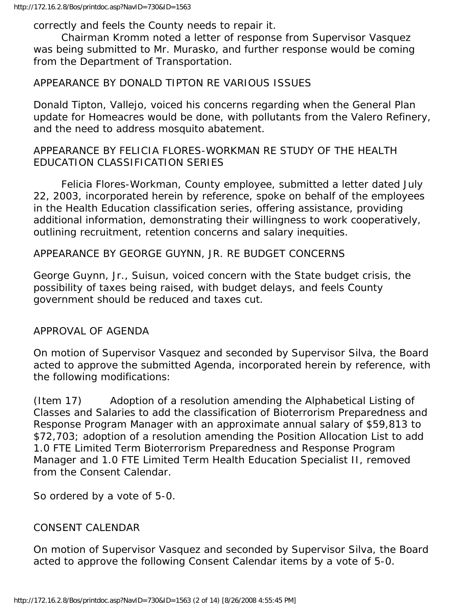correctly and feels the County needs to repair it.

 Chairman Kromm noted a letter of response from Supervisor Vasquez was being submitted to Mr. Murasko, and further response would be coming from the Department of Transportation.

#### APPEARANCE BY DONALD TIPTON RE VARIOUS ISSUES

Donald Tipton, Vallejo, voiced his concerns regarding when the General Plan update for Homeacres would be done, with pollutants from the Valero Refinery, and the need to address mosquito abatement.

#### APPEARANCE BY FELICIA FLORES-WORKMAN RE STUDY OF THE HEALTH EDUCATION CLASSIFICATION SERIES

 Felicia Flores-Workman, County employee, submitted a letter dated July 22, 2003, incorporated herein by reference, spoke on behalf of the employees in the Health Education classification series, offering assistance, providing additional information, demonstrating their willingness to work cooperatively, outlining recruitment, retention concerns and salary inequities.

#### APPEARANCE BY GEORGE GUYNN, JR. RE BUDGET CONCERNS

George Guynn, Jr., Suisun, voiced concern with the State budget crisis, the possibility of taxes being raised, with budget delays, and feels County government should be reduced and taxes cut.

#### APPROVAL OF AGENDA

On motion of Supervisor Vasquez and seconded by Supervisor Silva, the Board acted to approve the submitted Agenda, incorporated herein by reference, with the following modifications:

(Item 17) Adoption of a resolution amending the Alphabetical Listing of Classes and Salaries to add the classification of Bioterrorism Preparedness and Response Program Manager with an approximate annual salary of \$59,813 to \$72,703; adoption of a resolution amending the Position Allocation List to add 1.0 FTE Limited Term Bioterrorism Preparedness and Response Program Manager and 1.0 FTE Limited Term Health Education Specialist II, removed from the Consent Calendar.

So ordered by a vote of 5-0.

#### CONSENT CALENDAR

On motion of Supervisor Vasquez and seconded by Supervisor Silva, the Board acted to approve the following Consent Calendar items by a vote of 5-0.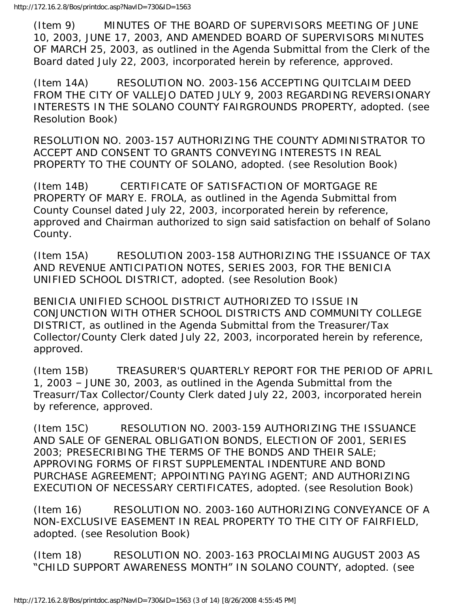(Item 9) MINUTES OF THE BOARD OF SUPERVISORS MEETING OF JUNE 10, 2003, JUNE 17, 2003, AND AMENDED BOARD OF SUPERVISORS MINUTES OF MARCH 25, 2003, as outlined in the Agenda Submittal from the Clerk of the Board dated July 22, 2003, incorporated herein by reference, approved.

(Item 14A) RESOLUTION NO. 2003-156 ACCEPTING QUITCLAIM DEED FROM THE CITY OF VALLEJO DATED JULY 9, 2003 REGARDING REVERSIONARY INTERESTS IN THE SOLANO COUNTY FAIRGROUNDS PROPERTY, adopted. (see Resolution Book)

RESOLUTION NO. 2003-157 AUTHORIZING THE COUNTY ADMINISTRATOR TO ACCEPT AND CONSENT TO GRANTS CONVEYING INTERESTS IN REAL PROPERTY TO THE COUNTY OF SOLANO, adopted. (see Resolution Book)

(Item 14B) CERTIFICATE OF SATISFACTION OF MORTGAGE RE PROPERTY OF MARY E. FROLA, as outlined in the Agenda Submittal from County Counsel dated July 22, 2003, incorporated herein by reference, approved and Chairman authorized to sign said satisfaction on behalf of Solano County.

(Item 15A) RESOLUTION 2003-158 AUTHORIZING THE ISSUANCE OF TAX AND REVENUE ANTICIPATION NOTES, SERIES 2003, FOR THE BENICIA UNIFIED SCHOOL DISTRICT, adopted. (see Resolution Book)

BENICIA UNIFIED SCHOOL DISTRICT AUTHORIZED TO ISSUE IN CONJUNCTION WITH OTHER SCHOOL DISTRICTS AND COMMUNITY COLLEGE DISTRICT, as outlined in the Agenda Submittal from the Treasurer/Tax Collector/County Clerk dated July 22, 2003, incorporated herein by reference, approved.

(Item 15B) TREASURER'S QUARTERLY REPORT FOR THE PERIOD OF APRIL 1, 2003 – JUNE 30, 2003, as outlined in the Agenda Submittal from the Treasurr/Tax Collector/County Clerk dated July 22, 2003, incorporated herein by reference, approved.

(Item 15C) RESOLUTION NO. 2003-159 AUTHORIZING THE ISSUANCE AND SALE OF GENERAL OBLIGATION BONDS, ELECTION OF 2001, SERIES 2003; PRESECRIBING THE TERMS OF THE BONDS AND THEIR SALE; APPROVING FORMS OF FIRST SUPPLEMENTAL INDENTURE AND BOND PURCHASE AGREEMENT; APPOINTING PAYING AGENT; AND AUTHORIZING EXECUTION OF NECESSARY CERTIFICATES, adopted. (see Resolution Book)

(Item 16) RESOLUTION NO. 2003-160 AUTHORIZING CONVEYANCE OF A NON-EXCLUSIVE EASEMENT IN REAL PROPERTY TO THE CITY OF FAIRFIELD, adopted. (see Resolution Book)

(Item 18) RESOLUTION NO. 2003-163 PROCLAIMING AUGUST 2003 AS "CHILD SUPPORT AWARENESS MONTH" IN SOLANO COUNTY, adopted. (see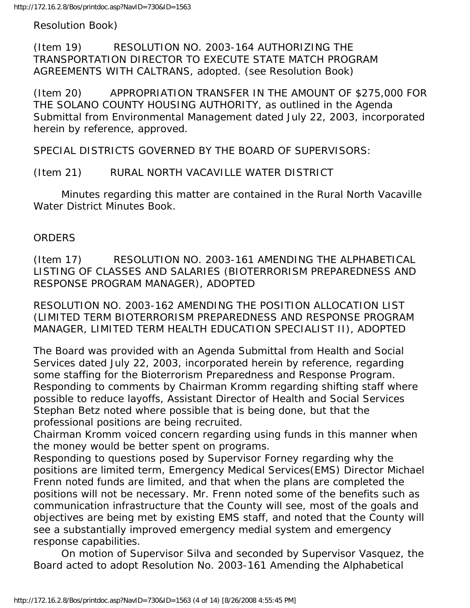Resolution Book)

(Item 19) RESOLUTION NO. 2003-164 AUTHORIZING THE TRANSPORTATION DIRECTOR TO EXECUTE STATE MATCH PROGRAM AGREEMENTS WITH CALTRANS, adopted. (see Resolution Book)

(Item 20) APPROPRIATION TRANSFER IN THE AMOUNT OF \$275,000 FOR THE SOLANO COUNTY HOUSING AUTHORITY, as outlined in the Agenda Submittal from Environmental Management dated July 22, 2003, incorporated herein by reference, approved.

SPECIAL DISTRICTS GOVERNED BY THE BOARD OF SUPERVISORS:

(Item 21) RURAL NORTH VACAVILLE WATER DISTRICT

 Minutes regarding this matter are contained in the Rural North Vacaville Water District Minutes Book.

#### **ORDERS**

(Item 17) RESOLUTION NO. 2003-161 AMENDING THE ALPHABETICAL LISTING OF CLASSES AND SALARIES (BIOTERRORISM PREPAREDNESS AND RESPONSE PROGRAM MANAGER), ADOPTED

RESOLUTION NO. 2003-162 AMENDING THE POSITION ALLOCATION LIST (LIMITED TERM BIOTERRORISM PREPAREDNESS AND RESPONSE PROGRAM MANAGER, LIMITED TERM HEALTH EDUCATION SPECIALIST II), ADOPTED

The Board was provided with an Agenda Submittal from Health and Social Services dated July 22, 2003, incorporated herein by reference, regarding some staffing for the Bioterrorism Preparedness and Response Program. Responding to comments by Chairman Kromm regarding shifting staff where possible to reduce layoffs, Assistant Director of Health and Social Services Stephan Betz noted where possible that is being done, but that the professional positions are being recruited.

Chairman Kromm voiced concern regarding using funds in this manner when the money would be better spent on programs.

Responding to questions posed by Supervisor Forney regarding why the positions are limited term, Emergency Medical Services(EMS) Director Michael Frenn noted funds are limited, and that when the plans are completed the positions will not be necessary. Mr. Frenn noted some of the benefits such as communication infrastructure that the County will see, most of the goals and objectives are being met by existing EMS staff, and noted that the County will see a substantially improved emergency medial system and emergency response capabilities.

 On motion of Supervisor Silva and seconded by Supervisor Vasquez, the Board acted to adopt Resolution No. 2003-161 Amending the Alphabetical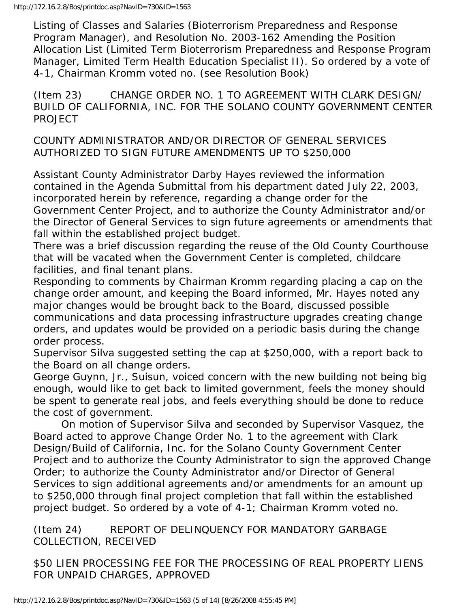Listing of Classes and Salaries (Bioterrorism Preparedness and Response Program Manager), and Resolution No. 2003-162 Amending the Position Allocation List (Limited Term Bioterrorism Preparedness and Response Program Manager, Limited Term Health Education Specialist II). So ordered by a vote of 4-1, Chairman Kromm voted no. (see Resolution Book)

(Item 23) CHANGE ORDER NO. 1 TO AGREEMENT WITH CLARK DESIGN/ BUILD OF CALIFORNIA, INC. FOR THE SOLANO COUNTY GOVERNMENT CENTER PROJECT

COUNTY ADMINISTRATOR AND/OR DIRECTOR OF GENERAL SERVICES AUTHORIZED TO SIGN FUTURE AMENDMENTS UP TO \$250,000

Assistant County Administrator Darby Hayes reviewed the information contained in the Agenda Submittal from his department dated July 22, 2003, incorporated herein by reference, regarding a change order for the Government Center Project, and to authorize the County Administrator and/or the Director of General Services to sign future agreements or amendments that fall within the established project budget.

There was a brief discussion regarding the reuse of the Old County Courthouse that will be vacated when the Government Center is completed, childcare facilities, and final tenant plans.

Responding to comments by Chairman Kromm regarding placing a cap on the change order amount, and keeping the Board informed, Mr. Hayes noted any major changes would be brought back to the Board, discussed possible communications and data processing infrastructure upgrades creating change orders, and updates would be provided on a periodic basis during the change order process.

Supervisor Silva suggested setting the cap at \$250,000, with a report back to the Board on all change orders.

George Guynn, Jr., Suisun, voiced concern with the new building not being big enough, would like to get back to limited government, feels the money should be spent to generate real jobs, and feels everything should be done to reduce the cost of government.

 On motion of Supervisor Silva and seconded by Supervisor Vasquez, the Board acted to approve Change Order No. 1 to the agreement with Clark Design/Build of California, Inc. for the Solano County Government Center Project and to authorize the County Administrator to sign the approved Change Order; to authorize the County Administrator and/or Director of General Services to sign additional agreements and/or amendments for an amount up to \$250,000 through final project completion that fall within the established project budget. So ordered by a vote of 4-1; Chairman Kromm voted no.

(Item 24) REPORT OF DELINQUENCY FOR MANDATORY GARBAGE COLLECTION, RECEIVED

\$50 LIEN PROCESSING FEE FOR THE PROCESSING OF REAL PROPERTY LIENS FOR UNPAID CHARGES, APPROVED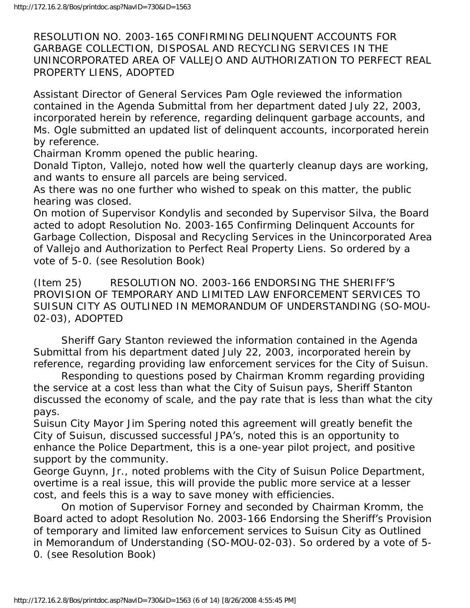RESOLUTION NO. 2003-165 CONFIRMING DELINQUENT ACCOUNTS FOR GARBAGE COLLECTION, DISPOSAL AND RECYCLING SERVICES IN THE UNINCORPORATED AREA OF VALLEJO AND AUTHORIZATION TO PERFECT REAL PROPERTY LIENS, ADOPTED

Assistant Director of General Services Pam Ogle reviewed the information contained in the Agenda Submittal from her department dated July 22, 2003, incorporated herein by reference, regarding delinquent garbage accounts, and Ms. Ogle submitted an updated list of delinquent accounts, incorporated herein by reference.

Chairman Kromm opened the public hearing.

Donald Tipton, Vallejo, noted how well the quarterly cleanup days are working, and wants to ensure all parcels are being serviced.

As there was no one further who wished to speak on this matter, the public hearing was closed.

On motion of Supervisor Kondylis and seconded by Supervisor Silva, the Board acted to adopt Resolution No. 2003-165 Confirming Delinquent Accounts for Garbage Collection, Disposal and Recycling Services in the Unincorporated Area of Vallejo and Authorization to Perfect Real Property Liens. So ordered by a vote of 5-0. (see Resolution Book)

(Item 25) RESOLUTION NO. 2003-166 ENDORSING THE SHERIFF'S PROVISION OF TEMPORARY AND LIMITED LAW ENFORCEMENT SERVICES TO SUISUN CITY AS OUTLINED IN MEMORANDUM OF UNDERSTANDING (SO-MOU-02-03), ADOPTED

 Sheriff Gary Stanton reviewed the information contained in the Agenda Submittal from his department dated July 22, 2003, incorporated herein by reference, regarding providing law enforcement services for the City of Suisun.

 Responding to questions posed by Chairman Kromm regarding providing the service at a cost less than what the City of Suisun pays, Sheriff Stanton discussed the economy of scale, and the pay rate that is less than what the city pays.

Suisun City Mayor Jim Spering noted this agreement will greatly benefit the City of Suisun, discussed successful JPA's, noted this is an opportunity to enhance the Police Department, this is a one-year pilot project, and positive support by the community.

George Guynn, Jr., noted problems with the City of Suisun Police Department, overtime is a real issue, this will provide the public more service at a lesser cost, and feels this is a way to save money with efficiencies.

 On motion of Supervisor Forney and seconded by Chairman Kromm, the Board acted to adopt Resolution No. 2003-166 Endorsing the Sheriff's Provision of temporary and limited law enforcement services to Suisun City as Outlined in Memorandum of Understanding (SO-MOU-02-03). So ordered by a vote of 5- 0. (see Resolution Book)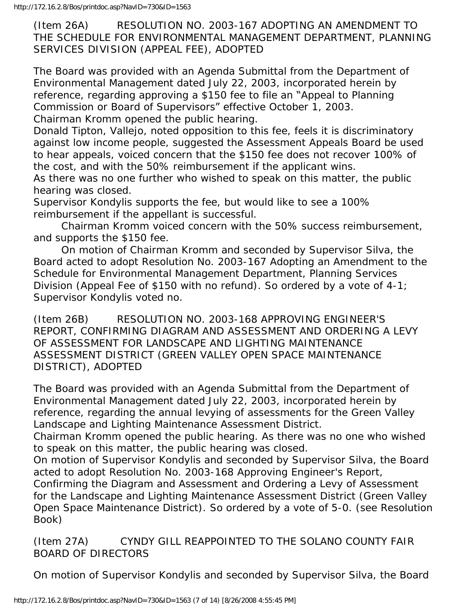http://172.16.2.8/Bos/printdoc.asp?NavID=730&ID=1563

(Item 26A) RESOLUTION NO. 2003-167 ADOPTING AN AMENDMENT TO THE SCHEDULE FOR ENVIRONMENTAL MANAGEMENT DEPARTMENT, PLANNING SERVICES DIVISION (APPEAL FEE), ADOPTED

The Board was provided with an Agenda Submittal from the Department of Environmental Management dated July 22, 2003, incorporated herein by reference, regarding approving a \$150 fee to file an "Appeal to Planning Commission or Board of Supervisors" effective October 1, 2003. Chairman Kromm opened the public hearing.

Donald Tipton, Vallejo, noted opposition to this fee, feels it is discriminatory against low income people, suggested the Assessment Appeals Board be used to hear appeals, voiced concern that the \$150 fee does not recover 100% of the cost, and with the 50% reimbursement if the applicant wins.

As there was no one further who wished to speak on this matter, the public hearing was closed.

Supervisor Kondylis supports the fee, but would like to see a 100% reimbursement if the appellant is successful.

 Chairman Kromm voiced concern with the 50% success reimbursement, and supports the \$150 fee.

 On motion of Chairman Kromm and seconded by Supervisor Silva, the Board acted to adopt Resolution No. 2003-167 Adopting an Amendment to the Schedule for Environmental Management Department, Planning Services Division (Appeal Fee of \$150 with no refund). So ordered by a vote of 4-1; Supervisor Kondylis voted no.

(Item 26B) RESOLUTION NO. 2003-168 APPROVING ENGINEER'S REPORT, CONFIRMING DIAGRAM AND ASSESSMENT AND ORDERING A LEVY OF ASSESSMENT FOR LANDSCAPE AND LIGHTING MAINTENANCE ASSESSMENT DISTRICT (GREEN VALLEY OPEN SPACE MAINTENANCE DISTRICT), ADOPTED

The Board was provided with an Agenda Submittal from the Department of Environmental Management dated July 22, 2003, incorporated herein by reference, regarding the annual levying of assessments for the Green Valley Landscape and Lighting Maintenance Assessment District.

Chairman Kromm opened the public hearing. As there was no one who wished to speak on this matter, the public hearing was closed.

On motion of Supervisor Kondylis and seconded by Supervisor Silva, the Board acted to adopt Resolution No. 2003-168 Approving Engineer's Report,

Confirming the Diagram and Assessment and Ordering a Levy of Assessment for the Landscape and Lighting Maintenance Assessment District (Green Valley Open Space Maintenance District). So ordered by a vote of 5-0. (see Resolution Book)

(Item 27A) CYNDY GILL REAPPOINTED TO THE SOLANO COUNTY FAIR BOARD OF DIRECTORS

On motion of Supervisor Kondylis and seconded by Supervisor Silva, the Board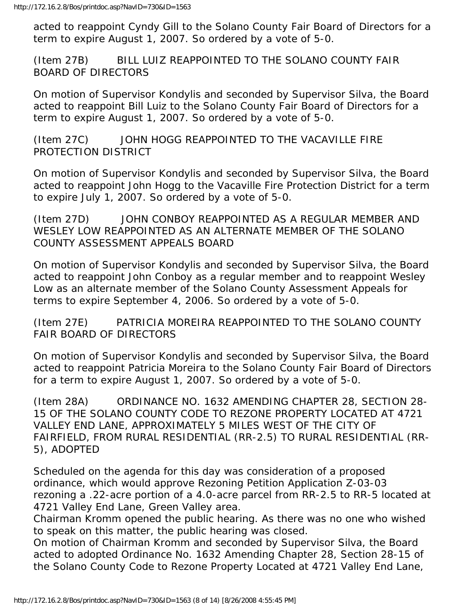acted to reappoint Cyndy Gill to the Solano County Fair Board of Directors for a term to expire August 1, 2007. So ordered by a vote of 5-0.

(Item 27B) BILL LUIZ REAPPOINTED TO THE SOLANO COUNTY FAIR BOARD OF DIRECTORS

On motion of Supervisor Kondylis and seconded by Supervisor Silva, the Board acted to reappoint Bill Luiz to the Solano County Fair Board of Directors for a term to expire August 1, 2007. So ordered by a vote of 5-0.

(Item 27C) JOHN HOGG REAPPOINTED TO THE VACAVILLE FIRE PROTECTION DISTRICT

On motion of Supervisor Kondylis and seconded by Supervisor Silva, the Board acted to reappoint John Hogg to the Vacaville Fire Protection District for a term to expire July 1, 2007. So ordered by a vote of 5-0.

(Item 27D) JOHN CONBOY REAPPOINTED AS A REGULAR MEMBER AND WESLEY LOW REAPPOINTED AS AN ALTERNATE MEMBER OF THE SOLANO COUNTY ASSESSMENT APPEALS BOARD

On motion of Supervisor Kondylis and seconded by Supervisor Silva, the Board acted to reappoint John Conboy as a regular member and to reappoint Wesley Low as an alternate member of the Solano County Assessment Appeals for terms to expire September 4, 2006. So ordered by a vote of 5-0.

(Item 27E) PATRICIA MOREIRA REAPPOINTED TO THE SOLANO COUNTY FAIR BOARD OF DIRECTORS

On motion of Supervisor Kondylis and seconded by Supervisor Silva, the Board acted to reappoint Patricia Moreira to the Solano County Fair Board of Directors for a term to expire August 1, 2007. So ordered by a vote of 5-0.

(Item 28A) ORDINANCE NO. 1632 AMENDING CHAPTER 28, SECTION 28- 15 OF THE SOLANO COUNTY CODE TO REZONE PROPERTY LOCATED AT 4721 VALLEY END LANE, APPROXIMATELY 5 MILES WEST OF THE CITY OF FAIRFIELD, FROM RURAL RESIDENTIAL (RR-2.5) TO RURAL RESIDENTIAL (RR-5), ADOPTED

Scheduled on the agenda for this day was consideration of a proposed ordinance, which would approve Rezoning Petition Application Z-03-03 rezoning a .22-acre portion of a 4.0-acre parcel from RR-2.5 to RR-5 located at 4721 Valley End Lane, Green Valley area.

Chairman Kromm opened the public hearing. As there was no one who wished to speak on this matter, the public hearing was closed.

On motion of Chairman Kromm and seconded by Supervisor Silva, the Board acted to adopted Ordinance No. 1632 Amending Chapter 28, Section 28-15 of the Solano County Code to Rezone Property Located at 4721 Valley End Lane,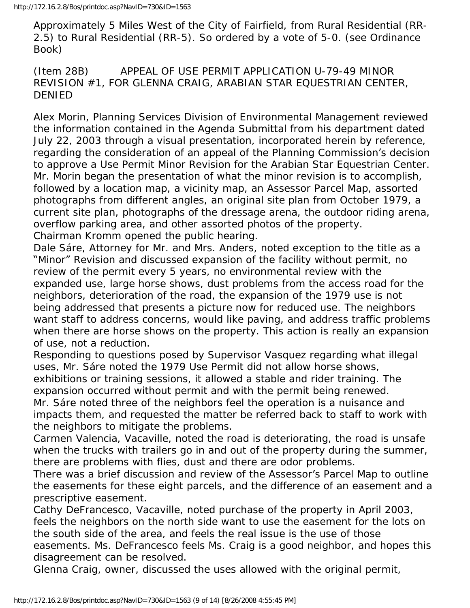Approximately 5 Miles West of the City of Fairfield, from Rural Residential (RR-2.5) to Rural Residential (RR-5). So ordered by a vote of 5-0. (see Ordinance Book)

(Item 28B) APPEAL OF USE PERMIT APPLICATION U-79-49 MINOR REVISION #1, FOR GLENNA CRAIG, ARABIAN STAR EQUESTRIAN CENTER, **DENIED** 

Alex Morin, Planning Services Division of Environmental Management reviewed the information contained in the Agenda Submittal from his department dated July 22, 2003 through a visual presentation, incorporated herein by reference, regarding the consideration of an appeal of the Planning Commission's decision to approve a Use Permit Minor Revision for the Arabian Star Equestrian Center. Mr. Morin began the presentation of what the minor revision is to accomplish, followed by a location map, a vicinity map, an Assessor Parcel Map, assorted photographs from different angles, an original site plan from October 1979, a current site plan, photographs of the dressage arena, the outdoor riding arena, overflow parking area, and other assorted photos of the property. Chairman Kromm opened the public hearing.

Dale Sáre, Attorney for Mr. and Mrs. Anders, noted exception to the title as a "Minor" Revision and discussed expansion of the facility without permit, no review of the permit every 5 years, no environmental review with the expanded use, large horse shows, dust problems from the access road for the neighbors, deterioration of the road, the expansion of the 1979 use is not being addressed that presents a picture now for reduced use. The neighbors want staff to address concerns, would like paving, and address traffic problems when there are horse shows on the property. This action is really an expansion of use, not a reduction.

Responding to questions posed by Supervisor Vasquez regarding what illegal uses, Mr. Sáre noted the 1979 Use Permit did not allow horse shows, exhibitions or training sessions, it allowed a stable and rider training. The expansion occurred without permit and with the permit being renewed. Mr. Sáre noted three of the neighbors feel the operation is a nuisance and impacts them, and requested the matter be referred back to staff to work with

the neighbors to mitigate the problems.

Carmen Valencia, Vacaville, noted the road is deteriorating, the road is unsafe when the trucks with trailers go in and out of the property during the summer, there are problems with flies, dust and there are odor problems.

There was a brief discussion and review of the Assessor's Parcel Map to outline the easements for these eight parcels, and the difference of an easement and a prescriptive easement.

Cathy DeFrancesco, Vacaville, noted purchase of the property in April 2003, feels the neighbors on the north side want to use the easement for the lots on the south side of the area, and feels the real issue is the use of those easements. Ms. DeFrancesco feels Ms. Craig is a good neighbor, and hopes this disagreement can be resolved.

Glenna Craig, owner, discussed the uses allowed with the original permit,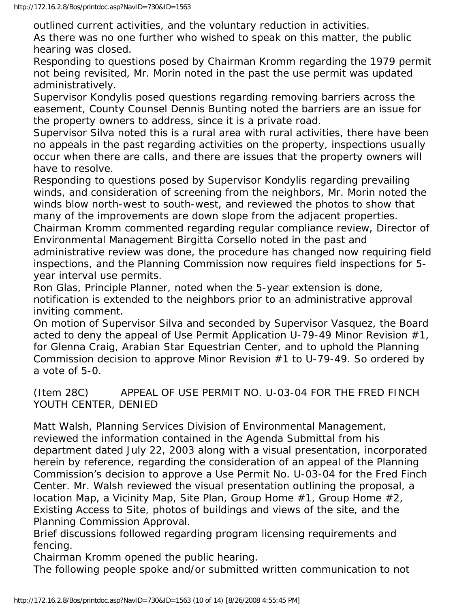outlined current activities, and the voluntary reduction in activities.

As there was no one further who wished to speak on this matter, the public hearing was closed.

Responding to questions posed by Chairman Kromm regarding the 1979 permit not being revisited, Mr. Morin noted in the past the use permit was updated administratively.

Supervisor Kondylis posed questions regarding removing barriers across the easement, County Counsel Dennis Bunting noted the barriers are an issue for the property owners to address, since it is a private road.

Supervisor Silva noted this is a rural area with rural activities, there have been no appeals in the past regarding activities on the property, inspections usually occur when there are calls, and there are issues that the property owners will have to resolve.

Responding to questions posed by Supervisor Kondylis regarding prevailing winds, and consideration of screening from the neighbors, Mr. Morin noted the winds blow north-west to south-west, and reviewed the photos to show that many of the improvements are down slope from the adjacent properties.

Chairman Kromm commented regarding regular compliance review, Director of Environmental Management Birgitta Corsello noted in the past and

administrative review was done, the procedure has changed now requiring field inspections, and the Planning Commission now requires field inspections for 5 year interval use permits.

Ron Glas, Principle Planner, noted when the 5-year extension is done, notification is extended to the neighbors prior to an administrative approval inviting comment.

On motion of Supervisor Silva and seconded by Supervisor Vasquez, the Board acted to deny the appeal of Use Permit Application U-79-49 Minor Revision #1, for Glenna Craig, Arabian Star Equestrian Center, and to uphold the Planning Commission decision to approve Minor Revision #1 to U-79-49. So ordered by a vote of 5-0.

(Item 28C) APPEAL OF USE PERMIT NO. U-03-04 FOR THE FRED FINCH YOUTH CENTER, DENIED

Matt Walsh, Planning Services Division of Environmental Management, reviewed the information contained in the Agenda Submittal from his department dated July 22, 2003 along with a visual presentation, incorporated herein by reference, regarding the consideration of an appeal of the Planning Commission's decision to approve a Use Permit No. U-03-04 for the Fred Finch Center. Mr. Walsh reviewed the visual presentation outlining the proposal, a location Map, a Vicinity Map, Site Plan, Group Home #1, Group Home #2, Existing Access to Site, photos of buildings and views of the site, and the Planning Commission Approval.

Brief discussions followed regarding program licensing requirements and fencing.

Chairman Kromm opened the public hearing.

The following people spoke and/or submitted written communication to not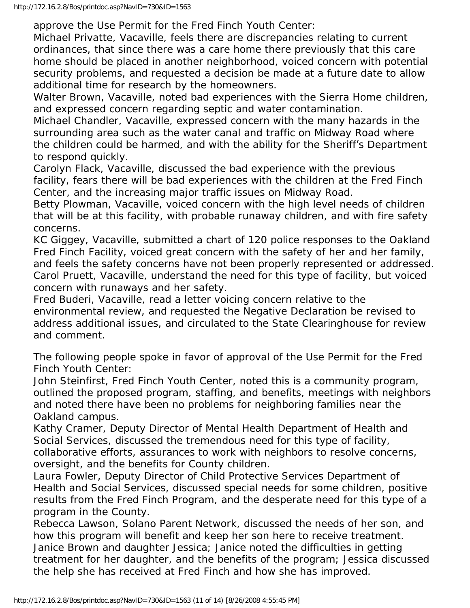approve the Use Permit for the Fred Finch Youth Center:

Michael Privatte, Vacaville, feels there are discrepancies relating to current ordinances, that since there was a care home there previously that this care home should be placed in another neighborhood, voiced concern with potential security problems, and requested a decision be made at a future date to allow additional time for research by the homeowners.

Walter Brown, Vacaville, noted bad experiences with the Sierra Home children, and expressed concern regarding septic and water contamination.

Michael Chandler, Vacaville, expressed concern with the many hazards in the surrounding area such as the water canal and traffic on Midway Road where the children could be harmed, and with the ability for the Sheriff's Department to respond quickly.

Carolyn Flack, Vacaville, discussed the bad experience with the previous facility, fears there will be bad experiences with the children at the Fred Finch Center, and the increasing major traffic issues on Midway Road.

Betty Plowman, Vacaville, voiced concern with the high level needs of children that will be at this facility, with probable runaway children, and with fire safety concerns.

KC Giggey, Vacaville, submitted a chart of 120 police responses to the Oakland Fred Finch Facility, voiced great concern with the safety of her and her family, and feels the safety concerns have not been properly represented or addressed. Carol Pruett, Vacaville, understand the need for this type of facility, but voiced concern with runaways and her safety.

Fred Buderi, Vacaville, read a letter voicing concern relative to the environmental review, and requested the Negative Declaration be revised to address additional issues, and circulated to the State Clearinghouse for review and comment.

The following people spoke in favor of approval of the Use Permit for the Fred Finch Youth Center:

John Steinfirst, Fred Finch Youth Center, noted this is a community program, outlined the proposed program, staffing, and benefits, meetings with neighbors and noted there have been no problems for neighboring families near the Oakland campus.

Kathy Cramer, Deputy Director of Mental Health Department of Health and Social Services, discussed the tremendous need for this type of facility, collaborative efforts, assurances to work with neighbors to resolve concerns, oversight, and the benefits for County children.

Laura Fowler, Deputy Director of Child Protective Services Department of Health and Social Services, discussed special needs for some children, positive results from the Fred Finch Program, and the desperate need for this type of a program in the County.

Rebecca Lawson, Solano Parent Network, discussed the needs of her son, and how this program will benefit and keep her son here to receive treatment. Janice Brown and daughter Jessica; Janice noted the difficulties in getting treatment for her daughter, and the benefits of the program; Jessica discussed the help she has received at Fred Finch and how she has improved.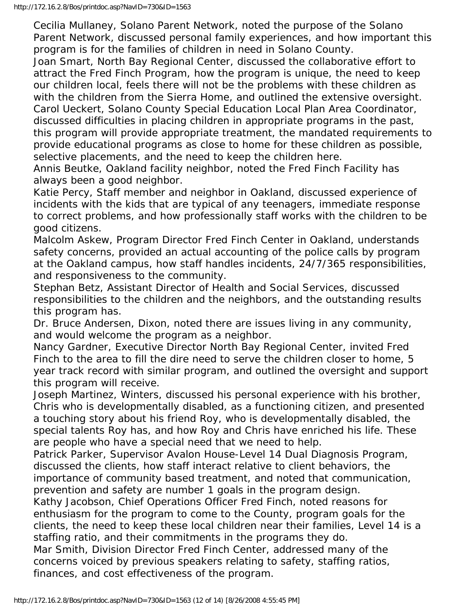Cecilia Mullaney, Solano Parent Network, noted the purpose of the Solano Parent Network, discussed personal family experiences, and how important this program is for the families of children in need in Solano County.

Joan Smart, North Bay Regional Center, discussed the collaborative effort to attract the Fred Finch Program, how the program is unique, the need to keep our children local, feels there will not be the problems with these children as with the children from the Sierra Home, and outlined the extensive oversight. Carol Ueckert, Solano County Special Education Local Plan Area Coordinator, discussed difficulties in placing children in appropriate programs in the past, this program will provide appropriate treatment, the mandated requirements to provide educational programs as close to home for these children as possible, selective placements, and the need to keep the children here.

Annis Beutke, Oakland facility neighbor, noted the Fred Finch Facility has always been a good neighbor.

Katie Percy, Staff member and neighbor in Oakland, discussed experience of incidents with the kids that are typical of any teenagers, immediate response to correct problems, and how professionally staff works with the children to be good citizens.

Malcolm Askew, Program Director Fred Finch Center in Oakland, understands safety concerns, provided an actual accounting of the police calls by program at the Oakland campus, how staff handles incidents, 24/7/365 responsibilities, and responsiveness to the community.

Stephan Betz, Assistant Director of Health and Social Services, discussed responsibilities to the children and the neighbors, and the outstanding results this program has.

Dr. Bruce Andersen, Dixon, noted there are issues living in any community, and would welcome the program as a neighbor.

Nancy Gardner, Executive Director North Bay Regional Center, invited Fred Finch to the area to fill the dire need to serve the children closer to home, 5 year track record with similar program, and outlined the oversight and support this program will receive.

Joseph Martinez, Winters, discussed his personal experience with his brother, Chris who is developmentally disabled, as a functioning citizen, and presented a touching story about his friend Roy, who is developmentally disabled, the special talents Roy has, and how Roy and Chris have enriched his life. These are people who have a special need that we need to help.

Patrick Parker, Supervisor Avalon House-Level 14 Dual Diagnosis Program, discussed the clients, how staff interact relative to client behaviors, the importance of community based treatment, and noted that communication, prevention and safety are number 1 goals in the program design.

Kathy Jacobson, Chief Operations Officer Fred Finch, noted reasons for enthusiasm for the program to come to the County, program goals for the clients, the need to keep these local children near their families, Level 14 is a staffing ratio, and their commitments in the programs they do.

Mar Smith, Division Director Fred Finch Center, addressed many of the concerns voiced by previous speakers relating to safety, staffing ratios, finances, and cost effectiveness of the program.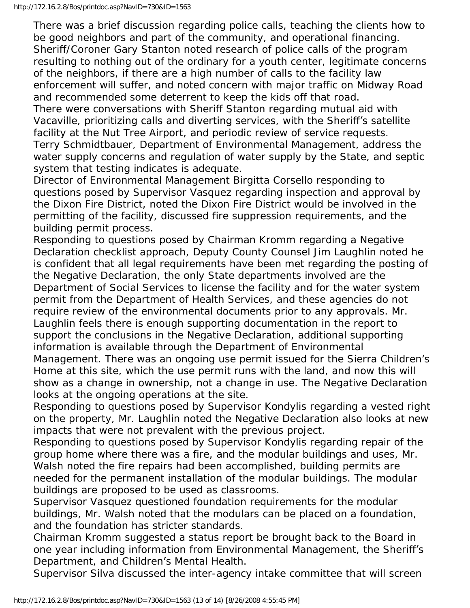There was a brief discussion regarding police calls, teaching the clients how to be good neighbors and part of the community, and operational financing. Sheriff/Coroner Gary Stanton noted research of police calls of the program resulting to nothing out of the ordinary for a youth center, legitimate concerns of the neighbors, if there are a high number of calls to the facility law enforcement will suffer, and noted concern with major traffic on Midway Road and recommended some deterrent to keep the kids off that road.

There were conversations with Sheriff Stanton regarding mutual aid with Vacaville, prioritizing calls and diverting services, with the Sheriff's satellite facility at the Nut Tree Airport, and periodic review of service requests. Terry Schmidtbauer, Department of Environmental Management, address the water supply concerns and regulation of water supply by the State, and septic system that testing indicates is adequate.

Director of Environmental Management Birgitta Corsello responding to questions posed by Supervisor Vasquez regarding inspection and approval by the Dixon Fire District, noted the Dixon Fire District would be involved in the permitting of the facility, discussed fire suppression requirements, and the building permit process.

Responding to questions posed by Chairman Kromm regarding a Negative Declaration checklist approach, Deputy County Counsel Jim Laughlin noted he is confident that all legal requirements have been met regarding the posting of the Negative Declaration, the only State departments involved are the Department of Social Services to license the facility and for the water system permit from the Department of Health Services, and these agencies do not require review of the environmental documents prior to any approvals. Mr. Laughlin feels there is enough supporting documentation in the report to support the conclusions in the Negative Declaration, additional supporting information is available through the Department of Environmental Management. There was an ongoing use permit issued for the Sierra Children's Home at this site, which the use permit runs with the land, and now this will show as a change in ownership, not a change in use. The Negative Declaration looks at the ongoing operations at the site.

Responding to questions posed by Supervisor Kondylis regarding a vested right on the property, Mr. Laughlin noted the Negative Declaration also looks at new impacts that were not prevalent with the previous project.

Responding to questions posed by Supervisor Kondylis regarding repair of the group home where there was a fire, and the modular buildings and uses, Mr. Walsh noted the fire repairs had been accomplished, building permits are needed for the permanent installation of the modular buildings. The modular buildings are proposed to be used as classrooms.

Supervisor Vasquez questioned foundation requirements for the modular buildings, Mr. Walsh noted that the modulars can be placed on a foundation, and the foundation has stricter standards.

Chairman Kromm suggested a status report be brought back to the Board in one year including information from Environmental Management, the Sheriff's Department, and Children's Mental Health.

Supervisor Silva discussed the inter-agency intake committee that will screen